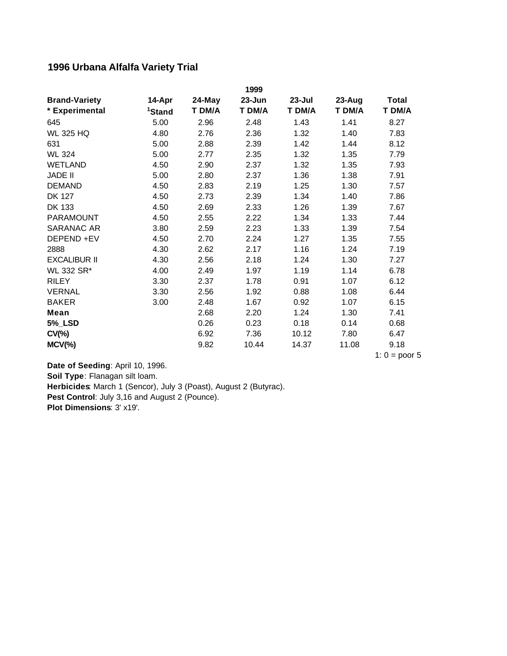## **1996 Urbana Alfalfa Variety Trial**

|                      |                    |        | 1999       |            |        |              |
|----------------------|--------------------|--------|------------|------------|--------|--------------|
| <b>Brand-Variety</b> | 14-Apr             | 24-May | $23 - Jun$ | $23 -$ Jul | 23-Aug | <b>Total</b> |
| * Experimental       | <sup>1</sup> Stand | T DM/A | T DM/A     | T DM/A     | T DM/A | T DM/A       |
| 645                  | 5.00               | 2.96   | 2.48       | 1.43       | 1.41   | 8.27         |
| <b>WL 325 HQ</b>     | 4.80               | 2.76   | 2.36       | 1.32       | 1.40   | 7.83         |
| 631                  | 5.00               | 2.88   | 2.39       | 1.42       | 1.44   | 8.12         |
| <b>WL 324</b>        | 5.00               | 2.77   | 2.35       | 1.32       | 1.35   | 7.79         |
| <b>WETLAND</b>       | 4.50               | 2.90   | 2.37       | 1.32       | 1.35   | 7.93         |
| <b>JADE II</b>       | 5.00               | 2.80   | 2.37       | 1.36       | 1.38   | 7.91         |
| <b>DEMAND</b>        | 4.50               | 2.83   | 2.19       | 1.25       | 1.30   | 7.57         |
| <b>DK 127</b>        | 4.50               | 2.73   | 2.39       | 1.34       | 1.40   | 7.86         |
| DK 133               | 4.50               | 2.69   | 2.33       | 1.26       | 1.39   | 7.67         |
| <b>PARAMOUNT</b>     | 4.50               | 2.55   | 2.22       | 1.34       | 1.33   | 7.44         |
| <b>SARANAC AR</b>    | 3.80               | 2.59   | 2.23       | 1.33       | 1.39   | 7.54         |
| DEPEND +EV           | 4.50               | 2.70   | 2.24       | 1.27       | 1.35   | 7.55         |
| 2888                 | 4.30               | 2.62   | 2.17       | 1.16       | 1.24   | 7.19         |
| <b>EXCALIBUR II</b>  | 4.30               | 2.56   | 2.18       | 1.24       | 1.30   | 7.27         |
| WL 332 SR*           | 4.00               | 2.49   | 1.97       | 1.19       | 1.14   | 6.78         |
| <b>RILEY</b>         | 3.30               | 2.37   | 1.78       | 0.91       | 1.07   | 6.12         |
| <b>VERNAL</b>        | 3.30               | 2.56   | 1.92       | 0.88       | 1.08   | 6.44         |
| <b>BAKER</b>         | 3.00               | 2.48   | 1.67       | 0.92       | 1.07   | 6.15         |
| <b>Mean</b>          |                    | 2.68   | 2.20       | 1.24       | 1.30   | 7.41         |
| <b>5%_LSD</b>        |                    | 0.26   | 0.23       | 0.18       | 0.14   | 0.68         |
| $CV(\% )$            |                    | 6.92   | 7.36       | 10.12      | 7.80   | 6.47         |
| $MCV$ (%)            |                    | 9.82   | 10.44      | 14.37      | 11.08  | 9.18         |

1:  $0 =$  poor 5

**Pest Control**: July 3,16 and August 2 (Pounce). **Plot Dimensions**: 3' x19'. **Date of Seeding**: April 10, 1996. **Soil Type**: Flanagan silt loam. **Herbicides**: March 1 (Sencor), July 3 (Poast), August 2 (Butyrac).